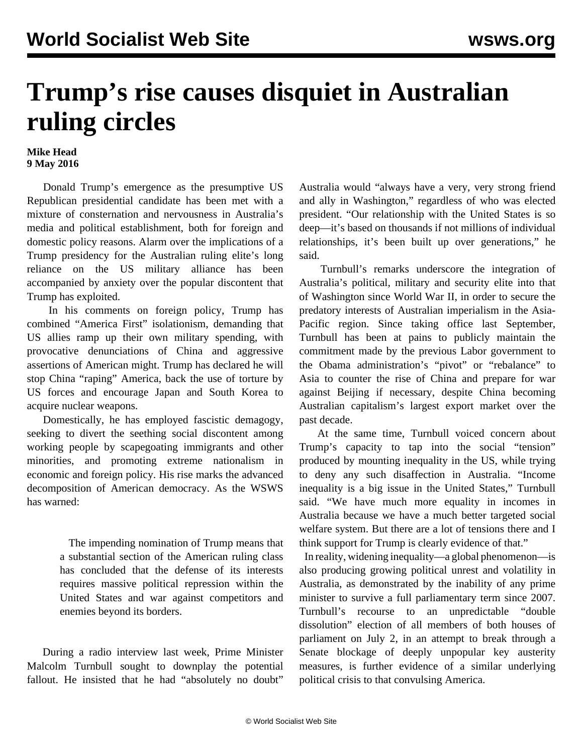## **Trump's rise causes disquiet in Australian ruling circles**

## **Mike Head 9 May 2016**

 Donald Trump's emergence as the presumptive US Republican presidential candidate has been met with a mixture of consternation and nervousness in Australia's media and political establishment, both for foreign and domestic policy reasons. Alarm over the implications of a Trump presidency for the Australian ruling elite's long reliance on the US military alliance has been accompanied by anxiety over the popular discontent that Trump has exploited.

 In his comments on foreign policy, Trump has combined "America First" isolationism, demanding that US allies ramp up their own military spending, with provocative denunciations of China and aggressive assertions of American might. Trump has declared he will stop China "raping" America, back the use of torture by US forces and encourage Japan and South Korea to acquire nuclear weapons.

 Domestically, he has employed fascistic demagogy, seeking to divert the seething social discontent among working people by scapegoating immigrants and other minorities, and promoting extreme nationalism in economic and foreign policy. His rise marks the advanced decomposition of American democracy. As the WSWS has [warned](/en/articles/2016/05/05/pers-m05.html):

> The impending nomination of Trump means that a substantial section of the American ruling class has concluded that the defense of its interests requires massive political repression within the United States and war against competitors and enemies beyond its borders.

 During a radio interview last week, Prime Minister Malcolm Turnbull sought to downplay the potential fallout. He insisted that he had "absolutely no doubt"

Australia would "always have a very, very strong friend and ally in Washington," regardless of who was elected president. "Our relationship with the United States is so deep—it's based on thousands if not millions of individual relationships, it's been built up over generations," he said.

 Turnbull's remarks underscore the integration of Australia's political, military and security elite into that of Washington since World War II, in order to secure the predatory interests of Australian imperialism in the Asia-Pacific region. Since taking office last September, Turnbull has been at pains to publicly maintain the commitment made by the previous Labor government to the Obama administration's "pivot" or "rebalance" to Asia to counter the rise of China and prepare for war against Beijing if necessary, despite China becoming Australian capitalism's largest export market over the past decade.

 At the same time, Turnbull voiced concern about Trump's capacity to tap into the social "tension" produced by mounting inequality in the US, while trying to deny any such disaffection in Australia. "Income inequality is a big issue in the United States," Turnbull said. "We have much more equality in incomes in Australia because we have a much better targeted social welfare system. But there are a lot of tensions there and I think support for Trump is clearly evidence of that."

 In reality, widening inequality—a global phenomenon—is also producing growing political unrest and volatility in Australia, as demonstrated by the inability of any prime minister to survive a full parliamentary term since 2007. Turnbull's recourse to an unpredictable "double dissolution" election of all members of both houses of parliament on July 2, in an attempt to break through a Senate blockage of deeply unpopular key austerity measures, is further evidence of a similar underlying political crisis to that convulsing America.